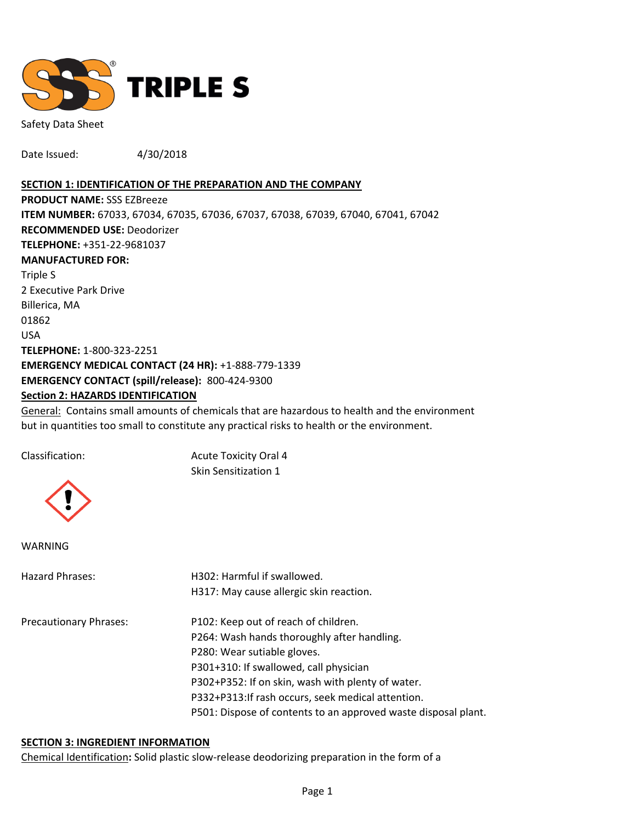

Safety Data Sheet

Date Issued: 4/30/2018

#### **SECTION 1: IDENTIFICATION OF THE PREPARATION AND THE COMPANY**

**PRODUCT NAME:** SSS EZBreeze **ITEM NUMBER:** 67033, 67034, 67035, 67036, 67037, 67038, 67039, 67040, 67041, 67042 **RECOMMENDED USE:** Deodorizer **TELEPHONE:** +351-22-9681037 **MANUFACTURED FOR:**  Triple S 2 Executive Park Drive Billerica, MA 01862 USA **TELEPHONE:** 1-800-323-2251 **EMERGENCY MEDICAL CONTACT (24 HR):** +1-888-779-1339 **EMERGENCY CONTACT (spill/release):** 800-424-9300 **Section 2: HAZARDS IDENTIFICATION**

General: Contains small amounts of chemicals that are hazardous to health and the environment but in quantities too small to constitute any practical risks to health or the environment.

Classification: Acute Toxicity Oral 4 Skin Sensitization 1



WARNING

| Hazard Phrases:               | H302: Harmful if swallowed.                                    |  |  |
|-------------------------------|----------------------------------------------------------------|--|--|
|                               | H317: May cause allergic skin reaction.                        |  |  |
| <b>Precautionary Phrases:</b> | P102: Keep out of reach of children.                           |  |  |
|                               | P264: Wash hands thoroughly after handling.                    |  |  |
|                               | P280: Wear sutiable gloves.                                    |  |  |
|                               | P301+310: If swallowed, call physician                         |  |  |
|                               | P302+P352: If on skin, wash with plenty of water.              |  |  |
|                               | P332+P313: If rash occurs, seek medical attention.             |  |  |
|                               | P501: Dispose of contents to an approved waste disposal plant. |  |  |
|                               |                                                                |  |  |

#### **SECTION 3: INGREDIENT INFORMATION**

Chemical Identification**:** Solid plastic slow-release deodorizing preparation in the form of a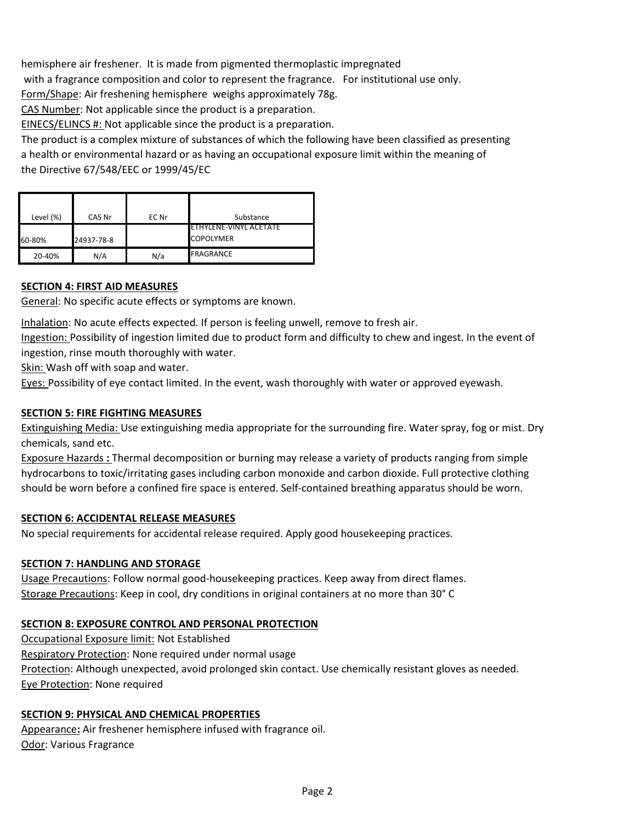hemisphere air freshener. It is made from pigmented thermoplastic impregnated with a fragrance composition and color to represent the fragrance. For institutional use only. Form/Shape: Air freshening hemisphere weighs approximately 78g.

CAS Number: Not applicable since the product is a preparation.

EINECS/ELINCS #: Not applicable since the product is a preparation.

The product is a complex mixture of substances of which the following have been classified as presenting a health or environmental hazard or as having an occupational exposure limit within the meaning of the Directive 67/548/EEC or 1999/45/EC

| Level (%) | CAS Nr     | EC Nr | Substance               |
|-----------|------------|-------|-------------------------|
|           |            |       | IETHYLENE-VINYL ACETATE |
| 60-80%    | 24937-78-8 |       | <b>COPOLYMER</b>        |
| 20-40%    | N/A        | N/a   | FRAGRANCE               |

# **SECTION 4: FIRST AID MEASURES**

General: No specific acute effects or symptoms are known.

Inhalation: No acute effects expected. If person is feeling unwell, remove to fresh air.

Ingestion: Possibility of ingestion limited due to product form and difficulty to chew and ingest. In the event of ingestion, rinse mouth thoroughly with water.

Skin: Wash off with soap and water.

Eyes: Possibility of eye contact limited. In the event, wash thoroughly with water or approved eyewash.

## **SECTION 5: FIRE FIGHTING MEASURES**

Extinguishing Media: Use extinguishing media appropriate for the surrounding fire. Water spray, fog or mist. Dry chemicals, sand etc.

Exposure Hazards **:** Thermal decomposition or burning may release a variety of products ranging from simple hydrocarbons to toxic/irritating gases including carbon monoxide and carbon dioxide. Full protective clothing should be worn before a confined fire space is entered. Self-contained breathing apparatus should be worn.

### **SECTION 6: ACCIDENTAL RELEASE MEASURES**

No special requirements for accidental release required. Apply good housekeeping practices.

# **SECTION 7: HANDLING AND STORAGE**

Usage Precautions: Follow normal good-housekeeping practices. Keep away from direct flames. Storage Precautions: Keep in cool, dry conditions in original containers at no more than 30° C

# **SECTION 8: EXPOSURE CONTROL AND PERSONAL PROTECTION**

Occupational Exposure limit: Not Established Respiratory Protection: None required under normal usage Protection: Although unexpected, avoid prolonged skin contact. Use chemically resistant gloves as needed. Eye Protection: None required

# **SECTION 9: PHYSICAL AND CHEMICAL PROPERTIES**

Appearance**:** Air freshener hemisphere infused with fragrance oil. Odor: Various Fragrance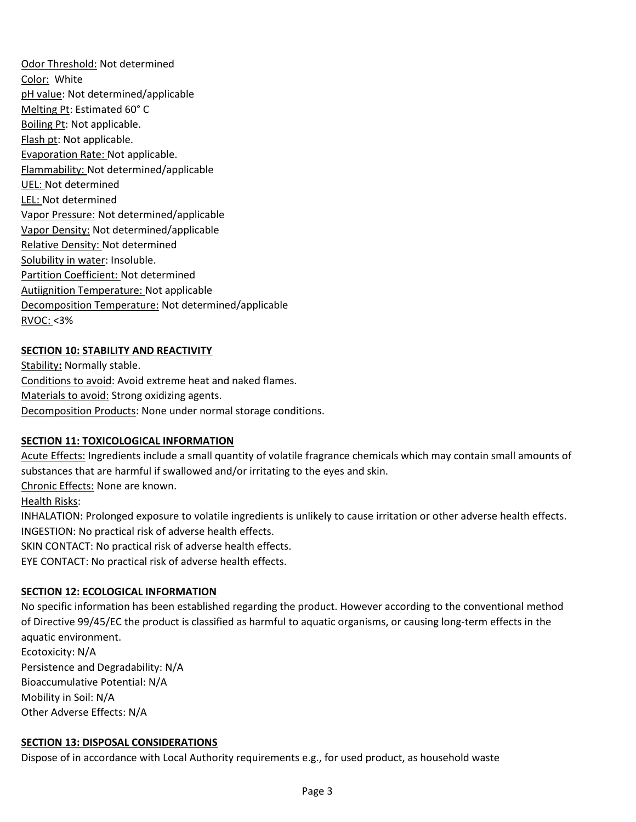Odor Threshold: Not determined Color: White pH value: Not determined/applicable Melting Pt: Estimated 60° C Boiling Pt: Not applicable. Flash pt: Not applicable. Evaporation Rate: Not applicable. Flammability: Not determined/applicable UEL: Not determined LEL: Not determined Vapor Pressure: Not determined/applicable Vapor Density: Not determined/applicable Relative Density: Not determined Solubility in water: Insoluble. Partition Coefficient: Not determined Autiignition Temperature: Not applicable Decomposition Temperature: Not determined/applicable RVOC: <3%

# **SECTION 10: STABILITY AND REACTIVITY**

Stability**:** Normally stable. Conditions to avoid: Avoid extreme heat and naked flames. Materials to avoid: Strong oxidizing agents. Decomposition Products: None under normal storage conditions.

# **SECTION 11: TOXICOLOGICAL INFORMATION**

Acute Effects: Ingredients include a small quantity of volatile fragrance chemicals which may contain small amounts of substances that are harmful if swallowed and/or irritating to the eyes and skin.

Chronic Effects: None are known.

Health Risks:

INHALATION: Prolonged exposure to volatile ingredients is unlikely to cause irritation or other adverse health effects. INGESTION: No practical risk of adverse health effects.

SKIN CONTACT: No practical risk of adverse health effects.

EYE CONTACT: No practical risk of adverse health effects.

### **SECTION 12: ECOLOGICAL INFORMATION**

No specific information has been established regarding the product. However according to the conventional method of Directive 99/45/EC the product is classified as harmful to aquatic organisms, or causing long-term effects in the aquatic environment.

Ecotoxicity: N/A Persistence and Degradability: N/A Bioaccumulative Potential: N/A Mobility in Soil: N/A Other Adverse Effects: N/A

### **SECTION 13: DISPOSAL CONSIDERATIONS**

Dispose of in accordance with Local Authority requirements e.g., for used product, as household waste